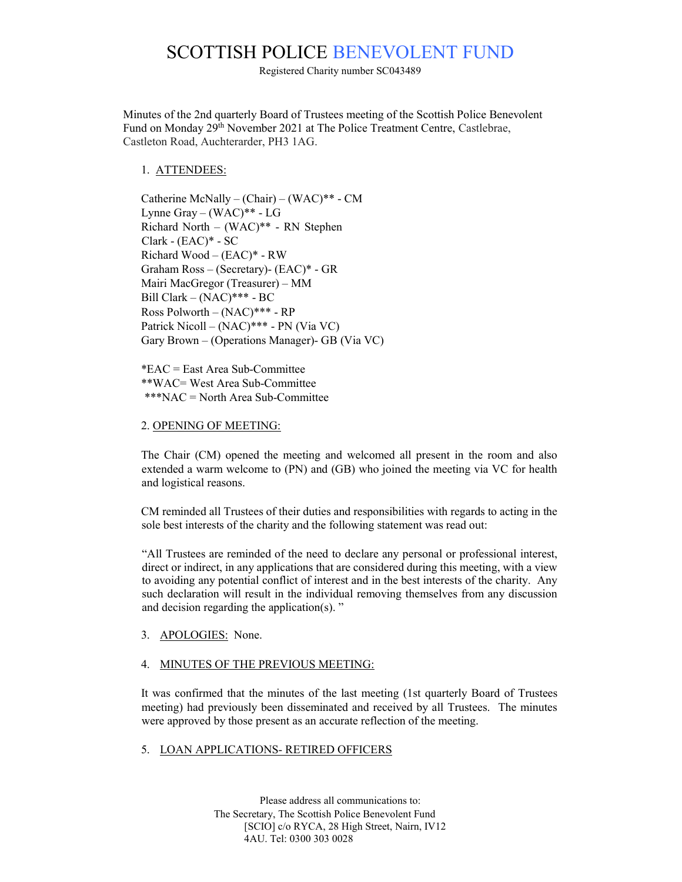# SCOTTISH POLICE BENEVOLENT FUND

Registered Charity number SC043489

Minutes of the 2nd quarterly Board of Trustees meeting of the Scottish Police Benevolent Fund on Monday 29<sup>th</sup> November 2021 at The Police Treatment Centre, Castlebrae, Castleton Road, Auchterarder, PH3 1AG.

## 1. ATTENDEES:

Catherine McNally – (Chair) – (WAC)\*\* - CM Lynne Gray – (WAC)\*\* - LG Richard North – (WAC)\*\* - RN Stephen Clark - (EAC)\* - SC Richard Wood – (EAC)\* - RW Graham Ross – (Secretary)- (EAC)\* - GR Mairi MacGregor (Treasurer) – MM Bill Clark – (NAC)\*\*\* - BC Ross Polworth – (NAC)\*\*\* - RP Patrick Nicoll – (NAC)\*\*\* - PN (Via VC) Gary Brown – (Operations Manager)- GB (Via VC)

\*EAC = East Area Sub-Committee \*\*WAC= West Area Sub-Committee \*\*\*NAC = North Area Sub-Committee

#### 2. OPENING OF MEETING:

The Chair (CM) opened the meeting and welcomed all present in the room and also extended a warm welcome to (PN) and (GB) who joined the meeting via VC for health and logistical reasons.

CM reminded all Trustees of their duties and responsibilities with regards to acting in the sole best interests of the charity and the following statement was read out:

"All Trustees are reminded of the need to declare any personal or professional interest, direct or indirect, in any applications that are considered during this meeting, with a view to avoiding any potential conflict of interest and in the best interests of the charity. Any such declaration will result in the individual removing themselves from any discussion and decision regarding the application(s). "

3. APOLOGIES: None.

## 4. MINUTES OF THE PREVIOUS MEETING:

It was confirmed that the minutes of the last meeting (1st quarterly Board of Trustees meeting) had previously been disseminated and received by all Trustees. The minutes were approved by those present as an accurate reflection of the meeting.

## 5. LOAN APPLICATIONS- RETIRED OFFICERS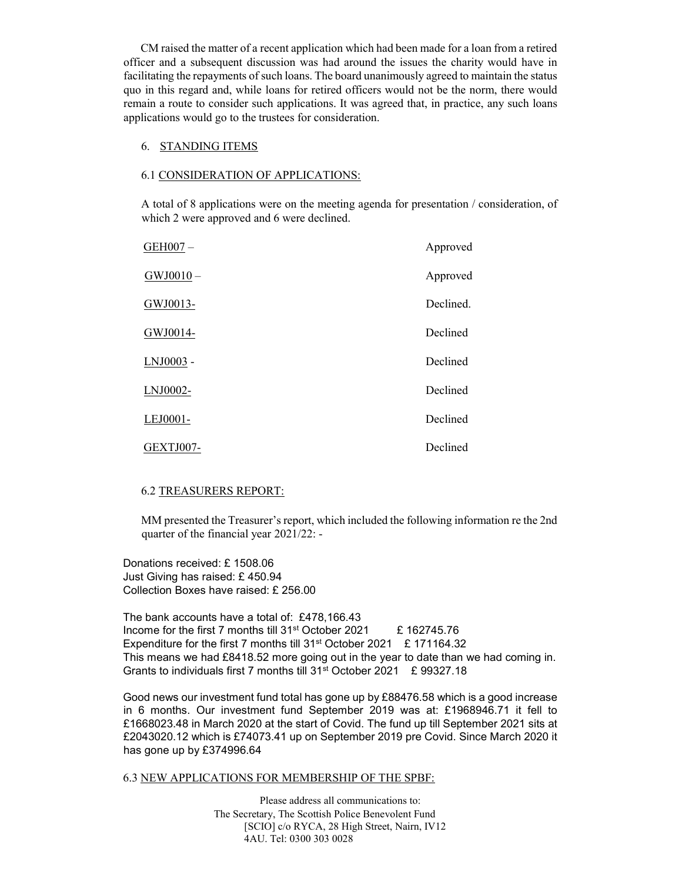CM raised the matter of a recent application which had been made for a loan from a retired officer and a subsequent discussion was had around the issues the charity would have in facilitating the repayments of such loans. The board unanimously agreed to maintain the status quo in this regard and, while loans for retired officers would not be the norm, there would remain a route to consider such applications. It was agreed that, in practice, any such loans applications would go to the trustees for consideration.

#### 6. STANDING ITEMS

#### 6.1 CONSIDERATION OF APPLICATIONS:

A total of 8 applications were on the meeting agenda for presentation / consideration, of which 2 were approved and 6 were declined.

| GEH007-        | Approved  |
|----------------|-----------|
| $GW$ J0010 $-$ | Approved  |
| GWJ0013-       | Declined. |
| GWJ0014-       | Declined  |
| LNJ0003 -      | Declined  |
| LNJ0002-       | Declined  |
| LEJ0001-       | Declined  |
| GEXTJ007-      | Declined  |

#### 6.2 TREASURERS REPORT:

MM presented the Treasurer's report, which included the following information re the 2nd quarter of the financial year 2021/22: -

Donations received: £ 1508.06 Just Giving has raised: £ 450.94 Collection Boxes have raised: £ 256.00

The bank accounts have a total of: £478,166.43 Income for the first 7 months till 31<sup>st</sup> October 2021 E 162745.76 Expenditure for the first 7 months till 31<sup>st</sup> October 2021 £ 171164.32 This means we had £8418.52 more going out in the year to date than we had coming in. Grants to individuals first 7 months till 31st October 2021 £ 99327.18

Good news our investment fund total has gone up by £88476.58 which is a good increase in 6 months. Our investment fund September 2019 was at: £1968946.71 it fell to £1668023.48 in March 2020 at the start of Covid. The fund up till September 2021 sits at £2043020.12 which is £74073.41 up on September 2019 pre Covid. Since March 2020 it has gone up by £374996.64

#### 6.3 NEW APPLICATIONS FOR MEMBERSHIP OF THE SPBF:

Please address all communications to: The Secretary, The Scottish Police Benevolent Fund [SCIO] c/o RYCA, 28 High Street, Nairn, IV12 4AU. Tel: 0300 303 0028